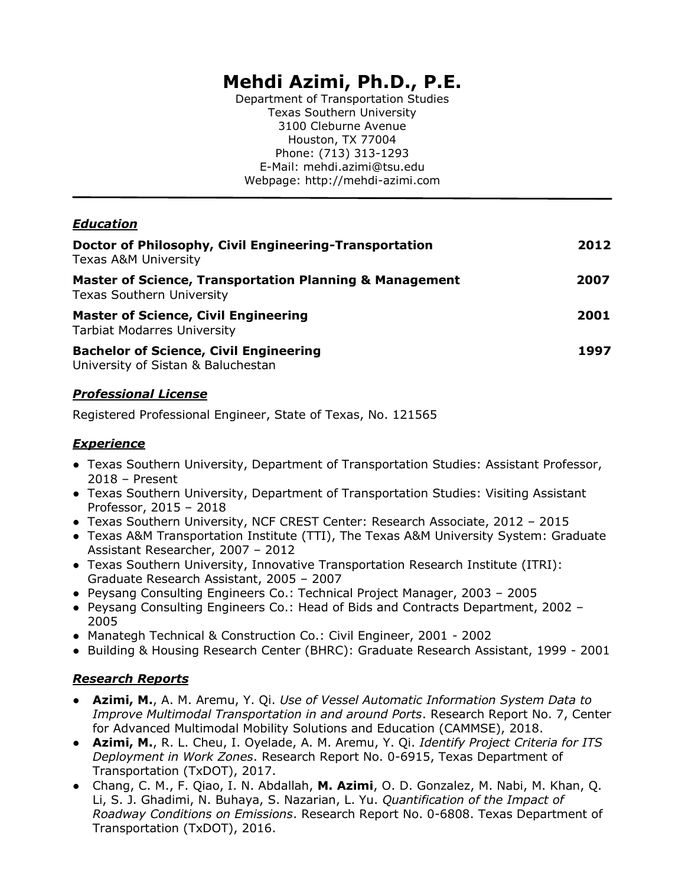# **Mehdi Azimi, Ph.D., P.E.**

Department of Transportation Studies Texas Southern University 3100 Cleburne Avenue Houston, TX 77004 Phone: (713) 313-1293 E-Mail: mehdi.azimi@tsu.edu Webpage: http://mehdi-azimi.com

# *Education*

| Doctor of Philosophy, Civil Engineering-Transportation<br><b>Texas A&amp;M University</b>              | 2012 |
|--------------------------------------------------------------------------------------------------------|------|
| <b>Master of Science, Transportation Planning &amp; Management</b><br><b>Texas Southern University</b> | 2007 |
| <b>Master of Science, Civil Engineering</b><br><b>Tarbiat Modarres University</b>                      | 2001 |
| <b>Bachelor of Science, Civil Engineering</b><br>University of Sistan & Baluchestan                    | 1997 |

#### *Professional License*

Registered Professional Engineer, State of Texas, No. 121565

# *Experience*

- Texas Southern University, Department of Transportation Studies: Assistant Professor, 2018 – Present
- Texas Southern University, Department of Transportation Studies: Visiting Assistant Professor, 2015 – 2018
- Texas Southern University, NCF CREST Center: Research Associate, 2012 2015
- Texas A&M Transportation Institute (TTI), The Texas A&M University System: Graduate Assistant Researcher, 2007 – 2012
- Texas Southern University, Innovative Transportation Research Institute (ITRI): Graduate Research Assistant, 2005 – 2007
- Peysang Consulting Engineers Co.: Technical Project Manager, 2003 2005
- Peysang Consulting Engineers Co.: Head of Bids and Contracts Department, 2002 2005
- Manategh Technical & Construction Co.: Civil Engineer, 2001 2002
- Building & Housing Research Center (BHRC): Graduate Research Assistant, 1999 2001

# *Research Reports*

- **Azimi, M.**, A. M. Aremu, Y. Qi. *Use of Vessel Automatic Information System Data to Improve Multimodal Transportation in and around Ports*. Research Report No. 7, Center for Advanced Multimodal Mobility Solutions and Education (CAMMSE), 2018.
- **Azimi, M.**, R. L. Cheu, I. Oyelade, A. M. Aremu, Y. Qi. *Identify Project Criteria for ITS Deployment in Work Zones*. Research Report No. 0-6915, Texas Department of Transportation (TxDOT), 2017.
- Chang, C. M., F. Qiao, I. N. Abdallah, **M. Azimi**, O. D. Gonzalez, M. Nabi, M. Khan, Q. Li, S. J. Ghadimi, N. Buhaya, S. Nazarian, L. Yu. *Quantification of the Impact of Roadway Conditions on Emissions*. Research Report No. 0-6808. Texas Department of Transportation (TxDOT), 2016.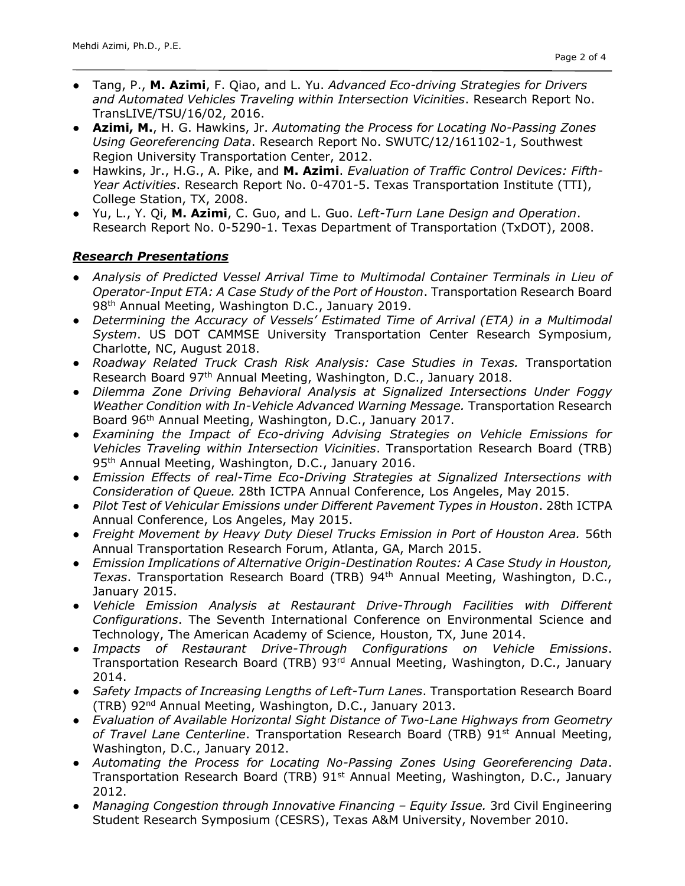- Tang, P., **M. Azimi**, F. Qiao, and L. Yu. *Advanced Eco-driving Strategies for Drivers and Automated Vehicles Traveling within Intersection Vicinities*. Research Report No. TransLIVE/TSU/16/02, 2016.
- **Azimi, M.**, H. G. Hawkins, Jr. *Automating the Process for Locating No-Passing Zones Using Georeferencing Data*. Research Report No. SWUTC/12/161102-1, Southwest Region University Transportation Center, 2012.
- Hawkins, Jr., H.G., A. Pike, and **M. Azimi**. *Evaluation of Traffic Control Devices: Fifth-Year Activities*. Research Report No. 0-4701-5. Texas Transportation Institute (TTI), College Station, TX, 2008.
- Yu, L., Y. Qi, **M. Azimi**, C. Guo, and L. Guo. *Left-Turn Lane Design and Operation*. Research Report No. 0-5290-1. Texas Department of Transportation (TxDOT), 2008.

#### *Research Presentations*

- *Analysis of Predicted Vessel Arrival Time to Multimodal Container Terminals in Lieu of Operator-Input ETA: A Case Study of the Port of Houston*. Transportation Research Board 98<sup>th</sup> Annual Meeting, Washington D.C., January 2019.
- *Determining the Accuracy of Vessels' Estimated Time of Arrival (ETA) in a Multimodal System*. US DOT CAMMSE University Transportation Center Research Symposium, Charlotte, NC, August 2018.
- *Roadway Related Truck Crash Risk Analysis: Case Studies in Texas.* Transportation Research Board 97th Annual Meeting, Washington, D.C., January 2018.
- *Dilemma Zone Driving Behavioral Analysis at Signalized Intersections Under Foggy*  Weather Condition with In-Vehicle Advanced Warning Message. Transportation Research Board 96th Annual Meeting, Washington, D.C., January 2017.
- *Examining the Impact of Eco-driving Advising Strategies on Vehicle Emissions for Vehicles Traveling within Intersection Vicinities*. Transportation Research Board (TRB) 95<sup>th</sup> Annual Meeting, Washington, D.C., January 2016.
- *Emission Effects of real-Time Eco-Driving Strategies at Signalized Intersections with Consideration of Queue.* 28th ICTPA Annual Conference, Los Angeles, May 2015.
- *Pilot Test of Vehicular Emissions under Different Pavement Types in Houston*. 28th ICTPA Annual Conference, Los Angeles, May 2015.
- *Freight Movement by Heavy Duty Diesel Trucks Emission in Port of Houston Area.* 56th Annual Transportation Research Forum, Atlanta, GA, March 2015.
- *Emission Implications of Alternative Origin-Destination Routes: A Case Study in Houston, Texas*. Transportation Research Board (TRB) 94th Annual Meeting, Washington, D.C., January 2015.
- *Vehicle Emission Analysis at Restaurant Drive-Through Facilities with Different Configurations*. The Seventh International Conference on Environmental Science and Technology, The American Academy of Science, Houston, TX, June 2014.
- *Impacts of Restaurant Drive-Through Configurations on Vehicle Emissions*. Transportation Research Board (TRB) 93rd Annual Meeting, Washington, D.C., January 2014.
- *Safety Impacts of Increasing Lengths of Left-Turn Lanes*. Transportation Research Board (TRB) 92nd Annual Meeting, Washington, D.C., January 2013.
- *Evaluation of Available Horizontal Sight Distance of Two-Lane Highways from Geometry*  of Travel Lane Centerline. Transportation Research Board (TRB) 91<sup>st</sup> Annual Meeting, Washington, D.C., January 2012.
- *Automating the Process for Locating No-Passing Zones Using Georeferencing Data*. Transportation Research Board (TRB) 91<sup>st</sup> Annual Meeting, Washington, D.C., January 2012.
- *Managing Congestion through Innovative Financing – Equity Issue.* 3rd Civil Engineering Student Research Symposium (CESRS), Texas A&M University, November 2010.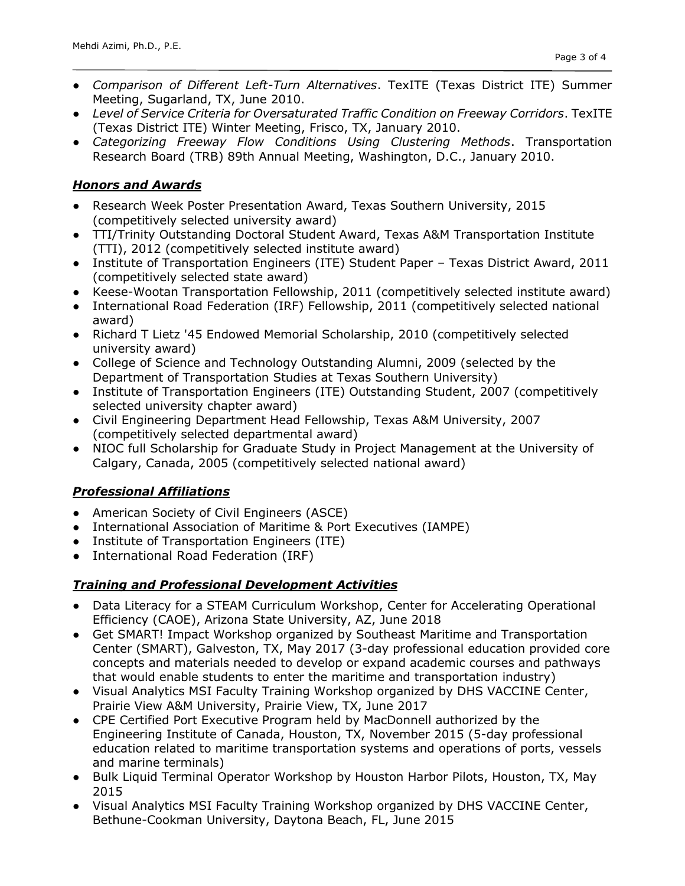- *Comparison of Different Left-Turn Alternatives*. TexITE (Texas District ITE) Summer Meeting, Sugarland, TX, June 2010.
- *Level of Service Criteria for Oversaturated Traffic Condition on Freeway Corridors*. TexITE (Texas District ITE) Winter Meeting, Frisco, TX, January 2010.
- *Categorizing Freeway Flow Conditions Using Clustering Methods*. Transportation Research Board (TRB) 89th Annual Meeting, Washington, D.C., January 2010.

#### *Honors and Awards*

- Research Week Poster Presentation Award, Texas Southern University, 2015 (competitively selected university award)
- TTI/Trinity Outstanding Doctoral Student Award, Texas A&M Transportation Institute (TTI), 2012 (competitively selected institute award)
- Institute of Transportation Engineers (ITE) Student Paper Texas District Award, 2011 (competitively selected state award)
- Keese-Wootan Transportation Fellowship, 2011 (competitively selected institute award)
- International Road Federation (IRF) Fellowship, 2011 (competitively selected national award)
- Richard T Lietz '45 Endowed Memorial Scholarship, 2010 (competitively selected university award)
- College of Science and Technology Outstanding Alumni, 2009 (selected by the Department of Transportation Studies at Texas Southern University)
- Institute of Transportation Engineers (ITE) Outstanding Student, 2007 (competitively selected university chapter award)
- Civil Engineering Department Head Fellowship, Texas A&M University, 2007 (competitively selected departmental award)
- NIOC full Scholarship for Graduate Study in Project Management at the University of Calgary, Canada, 2005 (competitively selected national award)

# *Professional Affiliations*

- American Society of Civil Engineers (ASCE)
- International Association of Maritime & Port Executives (IAMPE)
- Institute of Transportation Engineers (ITE)
- International Road Federation (IRF)

# *Training and Professional Development Activities*

- Data Literacy for a STEAM Curriculum Workshop, Center for Accelerating Operational Efficiency (CAOE), Arizona State University, AZ, June 2018
- Get SMART! Impact Workshop organized by Southeast Maritime and Transportation Center (SMART), Galveston, TX, May 2017 (3-day professional education provided core concepts and materials needed to develop or expand academic courses and pathways that would enable students to enter the maritime and transportation industry)
- Visual Analytics MSI Faculty Training Workshop organized by DHS VACCINE Center, Prairie View A&M University, Prairie View, TX, June 2017
- CPE Certified Port Executive Program held by MacDonnell authorized by the Engineering Institute of Canada, Houston, TX, November 2015 (5-day professional education related to maritime transportation systems and operations of ports, vessels and marine terminals)
- Bulk Liquid Terminal Operator Workshop by Houston Harbor Pilots, Houston, TX, May 2015
- Visual Analytics MSI Faculty Training Workshop organized by DHS VACCINE Center, Bethune-Cookman University, Daytona Beach, FL, June 2015